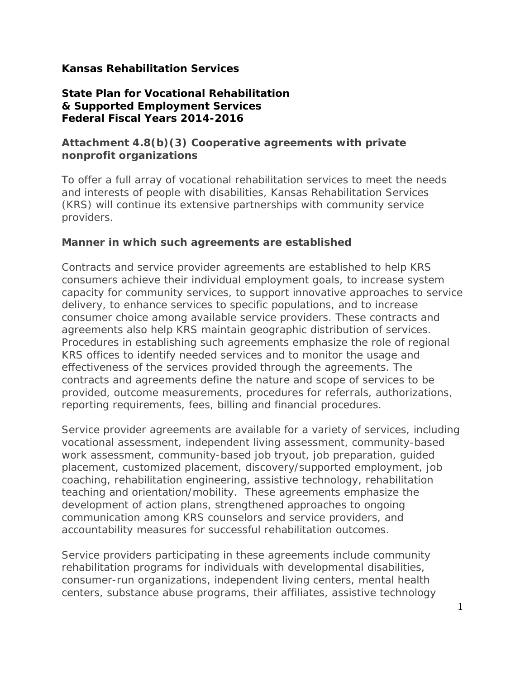## **Kansas Rehabilitation Services**

## **State Plan for Vocational Rehabilitation & Supported Employment Services Federal Fiscal Years 2014-2016**

## **Attachment 4.8(b)(3) Cooperative agreements with private nonprofit organizations**

To offer a full array of vocational rehabilitation services to meet the needs and interests of people with disabilities, Kansas Rehabilitation Services (KRS) will continue its extensive partnerships with community service providers.

## **Manner in which such agreements are established**

Contracts and service provider agreements are established to help KRS consumers achieve their individual employment goals, to increase system capacity for community services, to support innovative approaches to service delivery, to enhance services to specific populations, and to increase consumer choice among available service providers. These contracts and agreements also help KRS maintain geographic distribution of services. Procedures in establishing such agreements emphasize the role of regional KRS offices to identify needed services and to monitor the usage and effectiveness of the services provided through the agreements. The contracts and agreements define the nature and scope of services to be provided, outcome measurements, procedures for referrals, authorizations, reporting requirements, fees, billing and financial procedures.

Service provider agreements are available for a variety of services, including vocational assessment, independent living assessment, community-based work assessment, community-based job tryout, job preparation, guided placement, customized placement, discovery/supported employment, job coaching, rehabilitation engineering, assistive technology, rehabilitation teaching and orientation/mobility. These agreements emphasize the development of action plans, strengthened approaches to ongoing communication among KRS counselors and service providers, and accountability measures for successful rehabilitation outcomes.

Service providers participating in these agreements include community rehabilitation programs for individuals with developmental disabilities, consumer-run organizations, independent living centers, mental health centers, substance abuse programs, their affiliates, assistive technology